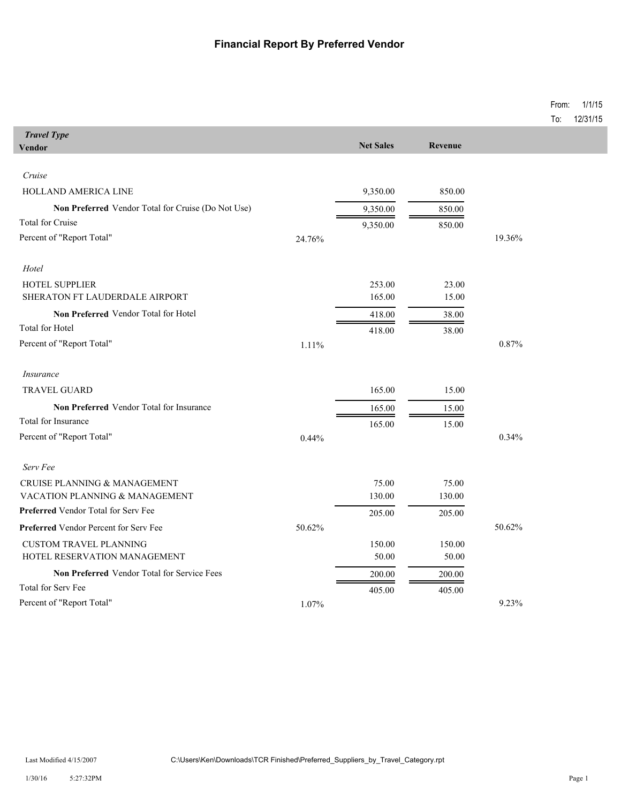## **Financial Report By Preferred Vendor**

|                                                           |        |                  |         |        | From:<br>To: | 1/1/15<br>12/31/15 |
|-----------------------------------------------------------|--------|------------------|---------|--------|--------------|--------------------|
| <b>Travel Type</b>                                        |        |                  |         |        |              |                    |
| <b>Vendor</b>                                             |        | <b>Net Sales</b> | Revenue |        |              |                    |
| Cruise                                                    |        |                  |         |        |              |                    |
| HOLLAND AMERICA LINE                                      |        | 9,350.00         | 850.00  |        |              |                    |
| <b>Non Preferred</b> Vendor Total for Cruise (Do Not Use) |        | 9,350.00         | 850.00  |        |              |                    |
| <b>Total for Cruise</b>                                   |        | 9,350.00         | 850.00  |        |              |                    |
| Percent of "Report Total"                                 | 24.76% |                  |         | 19.36% |              |                    |
| Hotel                                                     |        |                  |         |        |              |                    |
| <b>HOTEL SUPPLIER</b>                                     |        | 253.00           | 23.00   |        |              |                    |
| SHERATON FT LAUDERDALE AIRPORT                            |        | 165.00           | 15.00   |        |              |                    |
| Non Preferred Vendor Total for Hotel                      |        | 418.00           | 38.00   |        |              |                    |
| Total for Hotel                                           |        | 418.00           | 38.00   |        |              |                    |
| Percent of "Report Total"                                 | 1.11%  |                  |         | 0.87%  |              |                    |
| <i>Insurance</i>                                          |        |                  |         |        |              |                    |
| <b>TRAVEL GUARD</b>                                       |        | 165.00           | 15.00   |        |              |                    |
| Non Preferred Vendor Total for Insurance                  |        | 165.00           | 15.00   |        |              |                    |
| Total for Insurance                                       |        | 165.00           | 15.00   |        |              |                    |
| Percent of "Report Total"                                 | 0.44%  |                  |         | 0.34%  |              |                    |
| Serv Fee                                                  |        |                  |         |        |              |                    |
| CRUISE PLANNING & MANAGEMENT                              |        | 75.00            | 75.00   |        |              |                    |
| VACATION PLANNING & MANAGEMENT                            |        | 130.00           | 130.00  |        |              |                    |
| <b>Preferred Vendor Total for Serv Fee</b>                |        | 205.00           | 205.00  |        |              |                    |
| <b>Preferred Vendor Percent for Serv Fee</b>              | 50.62% |                  |         | 50.62% |              |                    |
| <b>CUSTOM TRAVEL PLANNING</b>                             |        | 150.00           | 150.00  |        |              |                    |
| HOTEL RESERVATION MANAGEMENT                              |        | 50.00            | 50.00   |        |              |                    |
| Non Preferred Vendor Total for Service Fees               |        | 200.00           | 200.00  |        |              |                    |
| Total for Serv Fee                                        |        | 405.00           | 405.00  |        |              |                    |
| Percent of "Report Total"                                 | 1.07%  |                  |         | 9.23%  |              |                    |